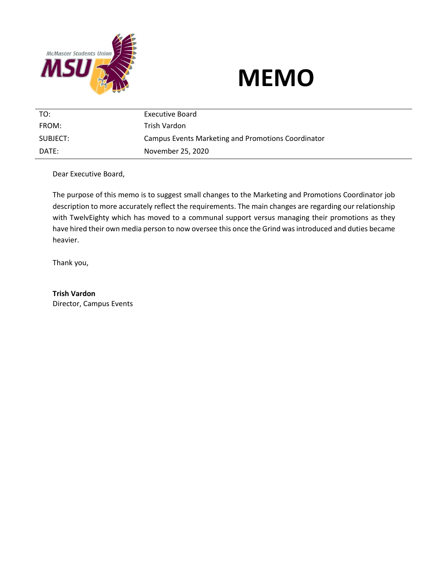



| TO:      | Executive Board                                    |
|----------|----------------------------------------------------|
| FROM:    | Trish Vardon                                       |
| SUBJECT: | Campus Events Marketing and Promotions Coordinator |
| DATF:    | November 25, 2020                                  |

Dear Executive Board,

The purpose of this memo is to suggest small changes to the Marketing and Promotions Coordinator job description to more accurately reflect the requirements. The main changes are regarding our relationship with TwelvEighty which has moved to a communal support versus managing their promotions as they have hired their own media person to now oversee this once the Grind was introduced and duties became heavier.

Thank you,

**Trish Vardon** Director, Campus Events